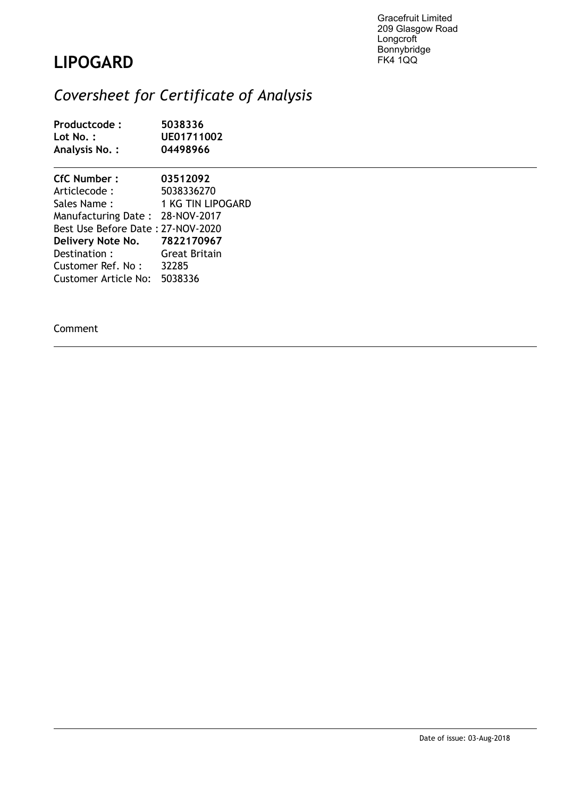Gracefruit Limited 209 Glasgow Road Longcroft Bonnybridge FK4 1QQ

## **LIPOGARD**

## *Coversheet for Certificate of Analysis*

| Productcode:<br>Lot No.:<br>Analysis No.: | 5038336<br>UE01711002<br>04498966 |  |  |
|-------------------------------------------|-----------------------------------|--|--|
| CfC Number:                               | 03512092                          |  |  |
| Articlecode :                             | 5038336270                        |  |  |
| Sales Name :                              | 1 KG TIN LIPOGARD                 |  |  |
| Manufacturing Date: 28-NOV-2017           |                                   |  |  |
| Best Use Before Date: 27-NOV-2020         |                                   |  |  |
| Delivery Note No. 7822170967              |                                   |  |  |
| Destination: Great Britain                |                                   |  |  |
| Customer Ref. No: 32285                   |                                   |  |  |
| Customer Article No: 5038336              |                                   |  |  |

Comment